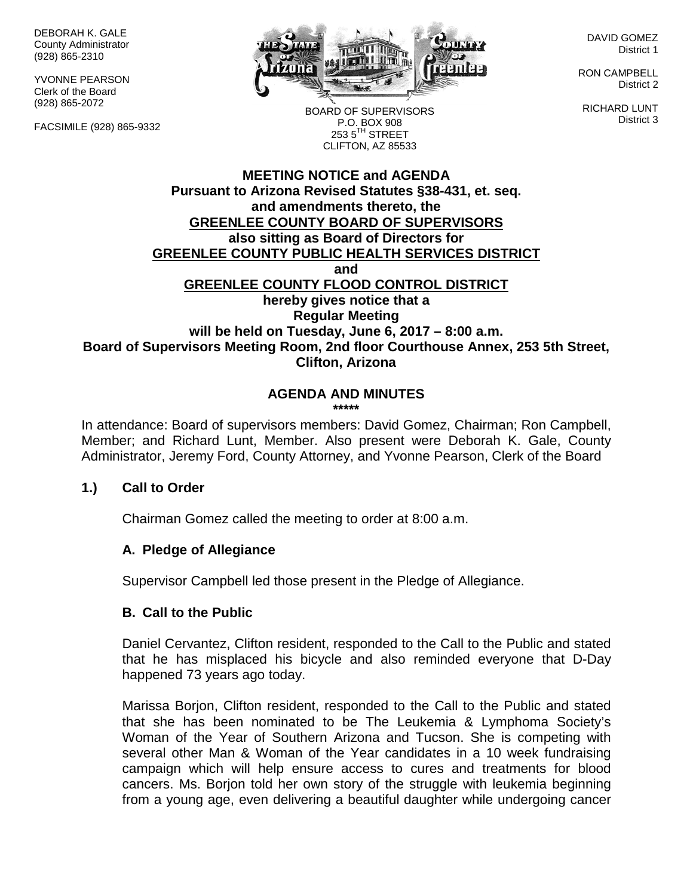DEBORAH K. GALE County Administrator (928) 865-2310

YVONNE PEARSON Clerk of the Board (928) 865-2072

FACSIMILE (928) 865-9332



DAVID GOMEZ District 1

RON CAMPBELL District 2

RICHARD LUNT District 3

BOARD OF SUPERVISORS P.O. BOX 908  $253.5$ <sup>TH</sup> STREET CLIFTON, AZ 85533

### **MEETING NOTICE and AGENDA Pursuant to Arizona Revised Statutes §38-431, et. seq. and amendments thereto, the GREENLEE COUNTY BOARD OF SUPERVISORS also sitting as Board of Directors for GREENLEE COUNTY PUBLIC HEALTH SERVICES DISTRICT and GREENLEE COUNTY FLOOD CONTROL DISTRICT hereby gives notice that a Regular Meeting will be held on Tuesday, June 6, 2017 – 8:00 a.m. Board of Supervisors Meeting Room, 2nd floor Courthouse Annex, 253 5th Street, Clifton, Arizona**

# **AGENDA AND MINUTES**

**\*\*\*\*\***

In attendance: Board of supervisors members: David Gomez, Chairman; Ron Campbell, Member; and Richard Lunt, Member. Also present were Deborah K. Gale, County Administrator, Jeremy Ford, County Attorney, and Yvonne Pearson, Clerk of the Board

### **1.) Call to Order**

Chairman Gomez called the meeting to order at 8:00 a.m.

#### **A. Pledge of Allegiance**

Supervisor Campbell led those present in the Pledge of Allegiance.

#### **B. Call to the Public**

Daniel Cervantez, Clifton resident, responded to the Call to the Public and stated that he has misplaced his bicycle and also reminded everyone that D-Day happened 73 years ago today.

Marissa Borjon, Clifton resident, responded to the Call to the Public and stated that she has been nominated to be The Leukemia & Lymphoma Society's Woman of the Year of Southern Arizona and Tucson. She is competing with several other Man & Woman of the Year candidates in a 10 week fundraising campaign which will help ensure access to cures and treatments for blood cancers. Ms. Borjon told her own story of the struggle with leukemia beginning from a young age, even delivering a beautiful daughter while undergoing cancer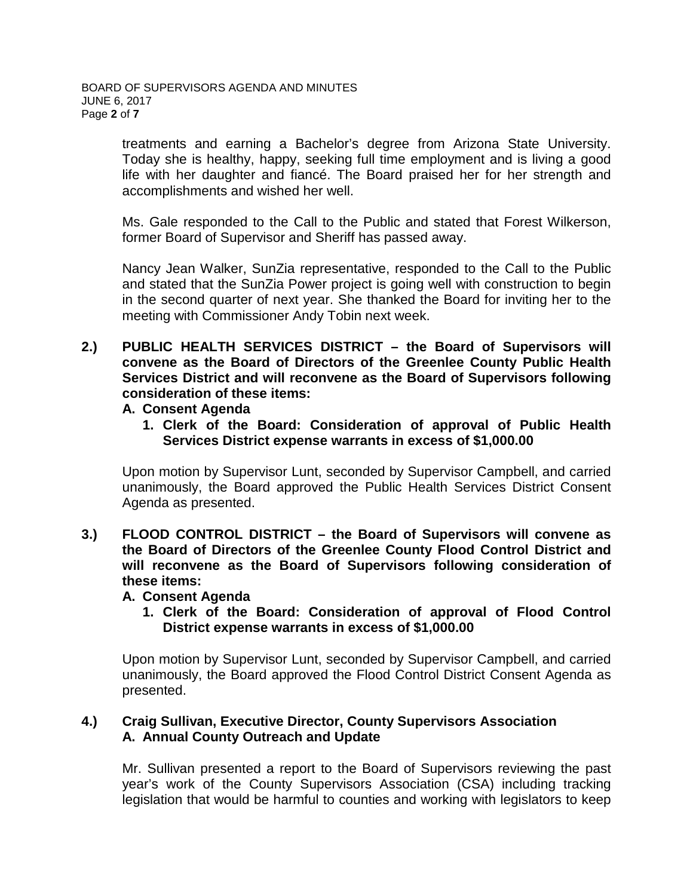treatments and earning a Bachelor's degree from Arizona State University. Today she is healthy, happy, seeking full time employment and is living a good life with her daughter and fiancé. The Board praised her for her strength and accomplishments and wished her well.

Ms. Gale responded to the Call to the Public and stated that Forest Wilkerson, former Board of Supervisor and Sheriff has passed away.

Nancy Jean Walker, SunZia representative, responded to the Call to the Public and stated that the SunZia Power project is going well with construction to begin in the second quarter of next year. She thanked the Board for inviting her to the meeting with Commissioner Andy Tobin next week.

**2.) PUBLIC HEALTH SERVICES DISTRICT – the Board of Supervisors will convene as the Board of Directors of the Greenlee County Public Health Services District and will reconvene as the Board of Supervisors following consideration of these items:**

#### **A. Consent Agenda**

**1. Clerk of the Board: Consideration of approval of Public Health Services District expense warrants in excess of \$1,000.00**

Upon motion by Supervisor Lunt, seconded by Supervisor Campbell, and carried unanimously, the Board approved the Public Health Services District Consent Agenda as presented.

**3.) FLOOD CONTROL DISTRICT – the Board of Supervisors will convene as the Board of Directors of the Greenlee County Flood Control District and will reconvene as the Board of Supervisors following consideration of these items:**

### **A. Consent Agenda**

**1. Clerk of the Board: Consideration of approval of Flood Control District expense warrants in excess of \$1,000.00**

Upon motion by Supervisor Lunt, seconded by Supervisor Campbell, and carried unanimously, the Board approved the Flood Control District Consent Agenda as presented.

### **4.) Craig Sullivan, Executive Director, County Supervisors Association A. Annual County Outreach and Update**

Mr. Sullivan presented a report to the Board of Supervisors reviewing the past year's work of the County Supervisors Association (CSA) including tracking legislation that would be harmful to counties and working with legislators to keep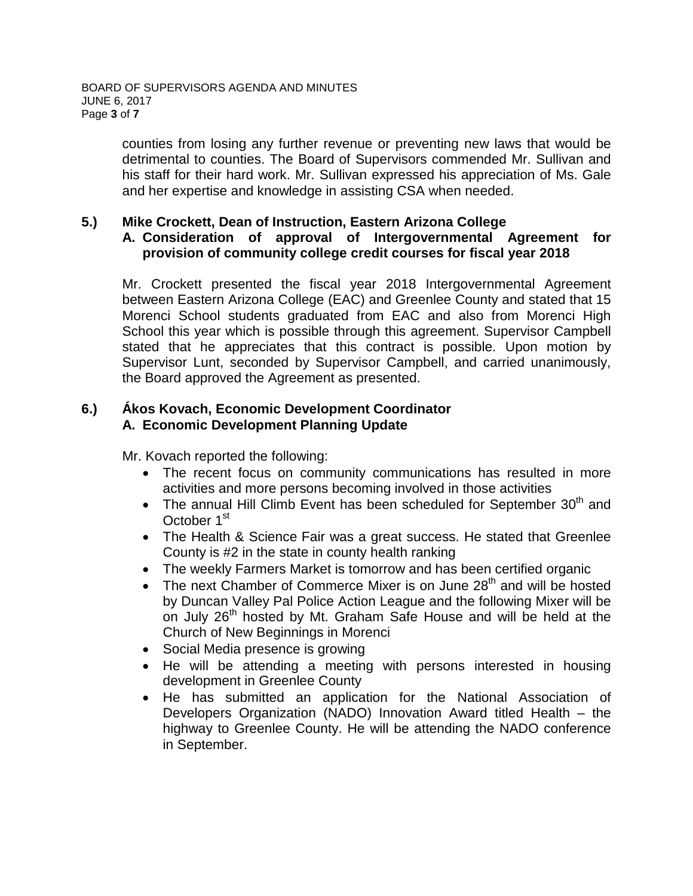counties from losing any further revenue or preventing new laws that would be detrimental to counties. The Board of Supervisors commended Mr. Sullivan and his staff for their hard work. Mr. Sullivan expressed his appreciation of Ms. Gale and her expertise and knowledge in assisting CSA when needed.

#### **5.) Mike Crockett, Dean of Instruction, Eastern Arizona College A. Consideration of approval of Intergovernmental Agreement for provision of community college credit courses for fiscal year 2018**

Mr. Crockett presented the fiscal year 2018 Intergovernmental Agreement between Eastern Arizona College (EAC) and Greenlee County and stated that 15 Morenci School students graduated from EAC and also from Morenci High School this year which is possible through this agreement. Supervisor Campbell stated that he appreciates that this contract is possible. Upon motion by Supervisor Lunt, seconded by Supervisor Campbell, and carried unanimously, the Board approved the Agreement as presented.

## **6.) Ákos Kovach, Economic Development Coordinator A. Economic Development Planning Update**

Mr. Kovach reported the following:

- The recent focus on community communications has resulted in more activities and more persons becoming involved in those activities
- The annual Hill Climb Event has been scheduled for September  $30<sup>th</sup>$  and October 1<sup>st</sup>
- The Health & Science Fair was a great success. He stated that Greenlee County is #2 in the state in county health ranking
- The weekly Farmers Market is tomorrow and has been certified organic
- The next Chamber of Commerce Mixer is on June  $28<sup>th</sup>$  and will be hosted by Duncan Valley Pal Police Action League and the following Mixer will be on July 26<sup>th</sup> hosted by Mt. Graham Safe House and will be held at the Church of New Beginnings in Morenci
- Social Media presence is growing
- He will be attending a meeting with persons interested in housing development in Greenlee County
- He has submitted an application for the National Association of Developers Organization (NADO) Innovation Award titled Health – the highway to Greenlee County. He will be attending the NADO conference in September.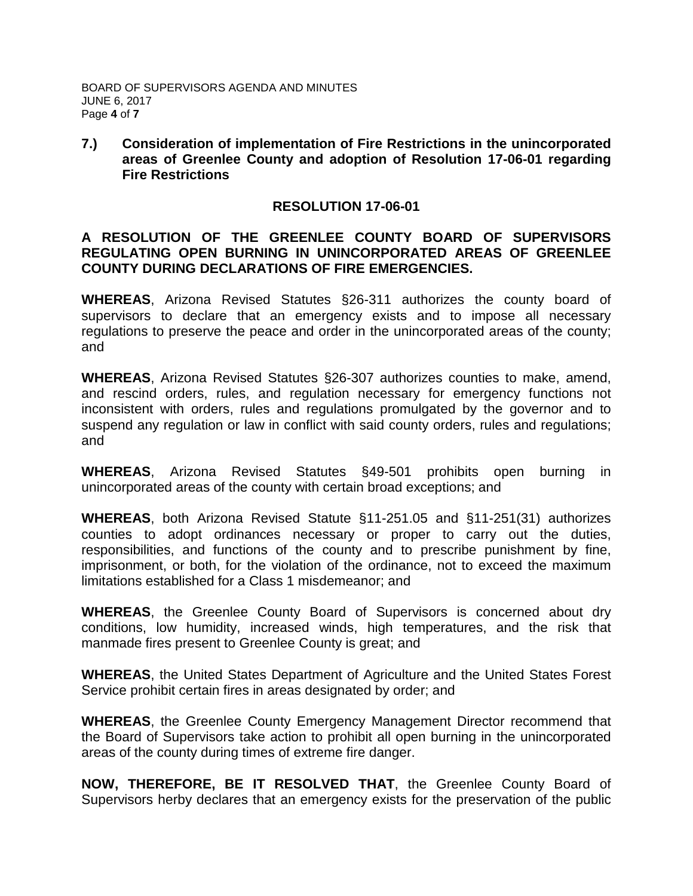#### **7.) Consideration of implementation of Fire Restrictions in the unincorporated areas of Greenlee County and adoption of Resolution 17-06-01 regarding Fire Restrictions**

#### **RESOLUTION 17-06-01**

### **A RESOLUTION OF THE GREENLEE COUNTY BOARD OF SUPERVISORS REGULATING OPEN BURNING IN UNINCORPORATED AREAS OF GREENLEE COUNTY DURING DECLARATIONS OF FIRE EMERGENCIES.**

**WHEREAS**, Arizona Revised Statutes §26-311 authorizes the county board of supervisors to declare that an emergency exists and to impose all necessary regulations to preserve the peace and order in the unincorporated areas of the county; and

**WHEREAS**, Arizona Revised Statutes §26-307 authorizes counties to make, amend, and rescind orders, rules, and regulation necessary for emergency functions not inconsistent with orders, rules and regulations promulgated by the governor and to suspend any regulation or law in conflict with said county orders, rules and regulations; and

**WHEREAS**, Arizona Revised Statutes §49-501 prohibits open burning in unincorporated areas of the county with certain broad exceptions; and

**WHEREAS**, both Arizona Revised Statute §11-251.05 and §11-251(31) authorizes counties to adopt ordinances necessary or proper to carry out the duties, responsibilities, and functions of the county and to prescribe punishment by fine, imprisonment, or both, for the violation of the ordinance, not to exceed the maximum limitations established for a Class 1 misdemeanor; and

**WHEREAS**, the Greenlee County Board of Supervisors is concerned about dry conditions, low humidity, increased winds, high temperatures, and the risk that manmade fires present to Greenlee County is great; and

**WHEREAS**, the United States Department of Agriculture and the United States Forest Service prohibit certain fires in areas designated by order; and

**WHEREAS**, the Greenlee County Emergency Management Director recommend that the Board of Supervisors take action to prohibit all open burning in the unincorporated areas of the county during times of extreme fire danger.

**NOW, THEREFORE, BE IT RESOLVED THAT**, the Greenlee County Board of Supervisors herby declares that an emergency exists for the preservation of the public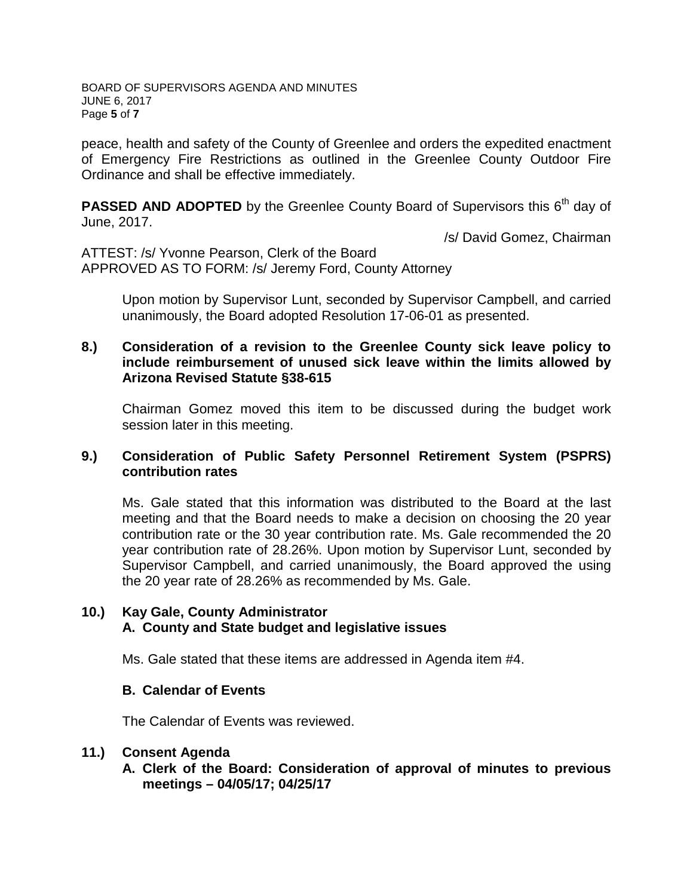BOARD OF SUPERVISORS AGENDA AND MINUTES JUNE 6, 2017 Page **5** of **7**

peace, health and safety of the County of Greenlee and orders the expedited enactment of Emergency Fire Restrictions as outlined in the Greenlee County Outdoor Fire Ordinance and shall be effective immediately.

**PASSED AND ADOPTED** by the Greenlee County Board of Supervisors this 6<sup>th</sup> day of June, 2017.

/s/ David Gomez, Chairman

ATTEST: /s/ Yvonne Pearson, Clerk of the Board APPROVED AS TO FORM: /s/ Jeremy Ford, County Attorney

> Upon motion by Supervisor Lunt, seconded by Supervisor Campbell, and carried unanimously, the Board adopted Resolution 17-06-01 as presented.

#### **8.) Consideration of a revision to the Greenlee County sick leave policy to include reimbursement of unused sick leave within the limits allowed by Arizona Revised Statute §38-615**

Chairman Gomez moved this item to be discussed during the budget work session later in this meeting.

#### **9.) Consideration of Public Safety Personnel Retirement System (PSPRS) contribution rates**

Ms. Gale stated that this information was distributed to the Board at the last meeting and that the Board needs to make a decision on choosing the 20 year contribution rate or the 30 year contribution rate. Ms. Gale recommended the 20 year contribution rate of 28.26%. Upon motion by Supervisor Lunt, seconded by Supervisor Campbell, and carried unanimously, the Board approved the using the 20 year rate of 28.26% as recommended by Ms. Gale.

### **10.) Kay Gale, County Administrator A. County and State budget and legislative issues**

Ms. Gale stated that these items are addressed in Agenda item #4.

### **B. Calendar of Events**

The Calendar of Events was reviewed.

#### **11.) Consent Agenda**

**A. Clerk of the Board: Consideration of approval of minutes to previous meetings – 04/05/17; 04/25/17**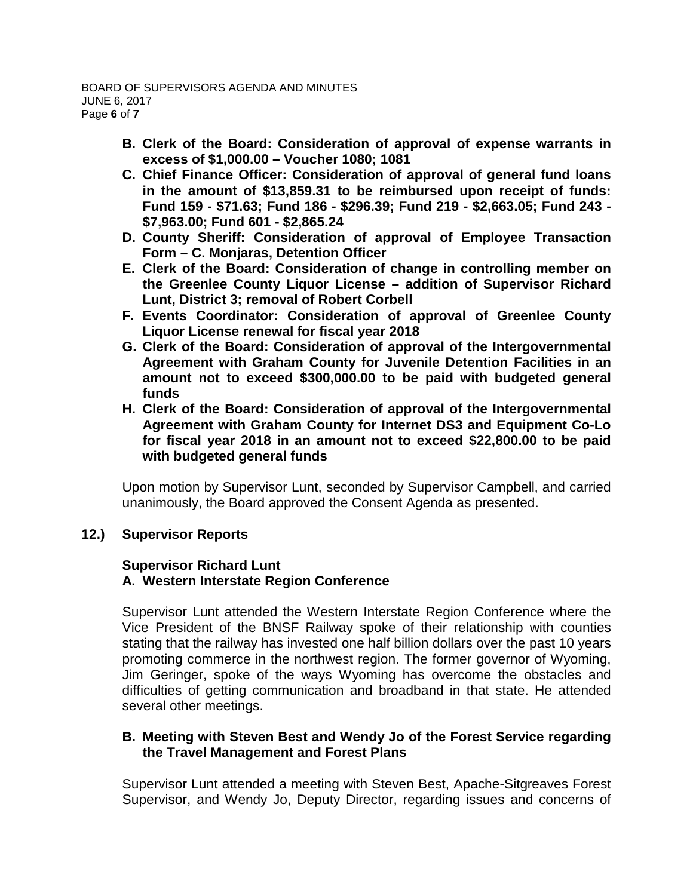- **B. Clerk of the Board: Consideration of approval of expense warrants in excess of \$1,000.00 – Voucher 1080; 1081**
- **C. Chief Finance Officer: Consideration of approval of general fund loans in the amount of \$13,859.31 to be reimbursed upon receipt of funds: Fund 159 - \$71.63; Fund 186 - \$296.39; Fund 219 - \$2,663.05; Fund 243 - \$7,963.00; Fund 601 - \$2,865.24**
- **D. County Sheriff: Consideration of approval of Employee Transaction Form – C. Monjaras, Detention Officer**
- **E. Clerk of the Board: Consideration of change in controlling member on the Greenlee County Liquor License – addition of Supervisor Richard Lunt, District 3; removal of Robert Corbell**
- **F. Events Coordinator: Consideration of approval of Greenlee County Liquor License renewal for fiscal year 2018**
- **G. Clerk of the Board: Consideration of approval of the Intergovernmental Agreement with Graham County for Juvenile Detention Facilities in an amount not to exceed \$300,000.00 to be paid with budgeted general funds**
- **H. Clerk of the Board: Consideration of approval of the Intergovernmental Agreement with Graham County for Internet DS3 and Equipment Co-Lo for fiscal year 2018 in an amount not to exceed \$22,800.00 to be paid with budgeted general funds**

Upon motion by Supervisor Lunt, seconded by Supervisor Campbell, and carried unanimously, the Board approved the Consent Agenda as presented.

## **12.) Supervisor Reports**

## **Supervisor Richard Lunt**

### **A. Western Interstate Region Conference**

Supervisor Lunt attended the Western Interstate Region Conference where the Vice President of the BNSF Railway spoke of their relationship with counties stating that the railway has invested one half billion dollars over the past 10 years promoting commerce in the northwest region. The former governor of Wyoming, Jim Geringer, spoke of the ways Wyoming has overcome the obstacles and difficulties of getting communication and broadband in that state. He attended several other meetings.

## **B. Meeting with Steven Best and Wendy Jo of the Forest Service regarding the Travel Management and Forest Plans**

Supervisor Lunt attended a meeting with Steven Best, Apache-Sitgreaves Forest Supervisor, and Wendy Jo, Deputy Director, regarding issues and concerns of